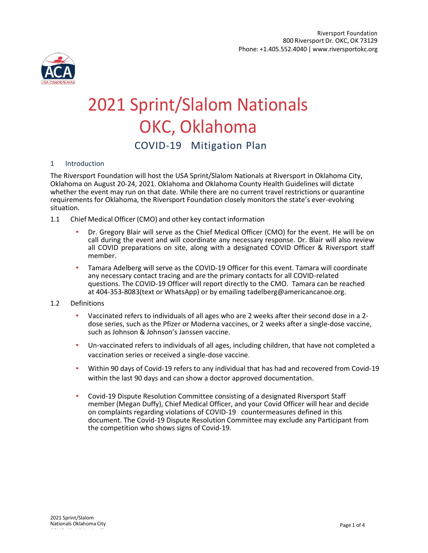

# 2021 Sprint/Slalom Nationals OKC, Oklahoma COVID-19 Mitigation Plan

## 1 Introduction

The Riversport Foundation will host the USA Sprint/Slalom Nationals at Riversport in Oklahoma City, Oklahoma on August 20-24, 2021. Oklahoma and Oklahoma County Health Guidelines will dictate whether the event may run on that date. While there are no current travel restrictions or quarantine requirements for Oklahoma, the Riversport Foundation closely monitors the state's ever-evolving situation.

- 1.1 Chief Medical Officer (CMO) and other key contact information
	- Dr. Gregory Blair will serve as the Chief Medical Officer (CMO) for the event. He will be on call during the event and will coordinate any necessary response. Dr. Blair will also review all COVID preparations on site, along with a designated COVID Officer & Riversport staff member.
	- Tamara Adelberg will serve as the COVID-19 Officer for this event. Tamara will coordinate any necessary contact tracing and are the primary contacts for all COVID-related questions. The COVID-19 Officer will report directly to the CMO. Tamara can be reached at 404-353-8083(text or WhatsApp) or by emailing tadelberg@americancanoe.org.

### 1.2 Definitions

- Vaccinated refers to individuals of all ages who are 2 weeks after their second dose in a 2 dose series, such as the Pfizer or Moderna vaccines, or 2 weeks after a single-dose vaccine, such as Johnson & Johnson's Janssen vaccine.
- Un-vaccinated refers to individuals of all ages, including children, that have not completed a vaccination series or received a single-dose vaccine.
- Within 90 days of Covid-19 refers to any individual that has had and recovered from Covid-19 within the last 90 days and can show a doctor approved documentation.
- Covid-19 Dispute Resolution Committee consisting of a designated Riversport Staff member (Megan Duffy), Chief Medical Officer, and your Covid Officer will hear and decide on complaints regarding violations of COVID-19 countermeasures defined in this document. The Covid-19 Dispute Resolution Committee may exclude any Participant from the competition who shows signs of Covid-19.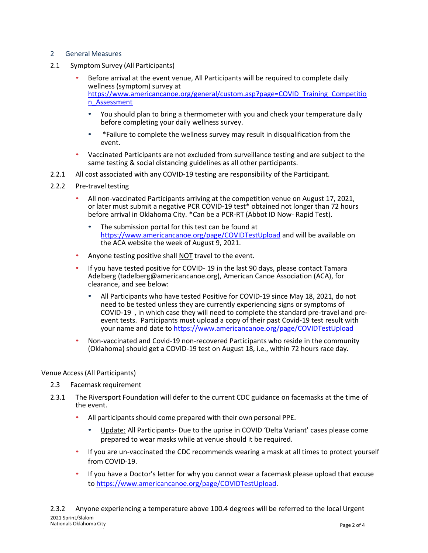# 2 General Measures

- 2.1 Symptom Survey (All Participants)
	- Before arrival at the event venue, All Participants will be required to complete daily wellness (symptom) survey at [https://www.americancanoe.org/general/custom.asp?page=COVID\\_Training\\_Competitio](https://www.americancanoe.org/general/custom.asp?page=COVID_Training_Competition_Assessment) [n\\_Assessment](https://www.americancanoe.org/general/custom.asp?page=COVID_Training_Competition_Assessment)
		- You should plan to bring a thermometer with you and check your temperature daily before completing your daily wellness survey.
		- \*Failure to complete the wellness survey may result in disqualification from the event.
	- Vaccinated Participants are not excluded from surveillance testing and are subject to the same testing & social distancing guidelines as all other participants.
- 2.2.1 All cost associated with any COVID-19 testing are responsibility of the Participant.
- 2.2.2 Pre-travel testing
	- All non-vaccinated Participants arriving at the competition venue on August 17, 2021, or later must submit a negative PCR COVID-19 test\* obtained not longer than 72 hours before arrival in Oklahoma City. \*Can be a PCR-RT (Abbot ID Now- Rapid Test).
		- The submission portal for this test can be found at <https://www.americancanoe.org/page/COVIDTestUpload> and will be available on the ACA website the week of August 9, 2021.
	- Anyone testing positive shall NOT travel to the event.
	- If you have tested positive for COVID- 19 in the last 90 days, please contact Tamara Adelberg (tadelberg@americancanoe.org), American Canoe Association (ACA), for clearance, and see below:
		- All Participants who have tested Positive for COVID-19 since May 18, 2021, do not need to be tested unless they are currently experiencing signs or symptoms of COVID-19 , in which case they will need to complete the standard pre-travel and preevent tests. Participants must upload a copy of their past Covid-19 test result with your name and date t[o https://www.americancanoe.org/page/COVIDTestUpload](https://www.americancanoe.org/page/COVIDTestUpload)
	- Non-vaccinated and Covid-19 non-recovered Participants who reside in the community (Oklahoma) should get a COVID-19 test on August 18, i.e., within 72 hours race day.

# Venue Access(All Participants)

- 2.3 Facemask requirement
- 2.3.1 The Riversport Foundation will defer to the current CDC guidance on facemasks at the time of the event.
	- All participants should come prepared with their own personal PPE.
		- Update: All Participants- Due to the uprise in COVID 'Delta Variant' cases please come prepared to wear masks while at venue should it be required.
	- If you are un-vaccinated the CDC recommends wearing a mask at all times to protect yourself from COVID-19.
	- If you have a Doctor's letter for why you cannot wear a facemask please upload that excuse to [https://www.americancanoe.org/page/COVIDTestUpload.](https://www.americancanoe.org/page/COVIDTestUpload)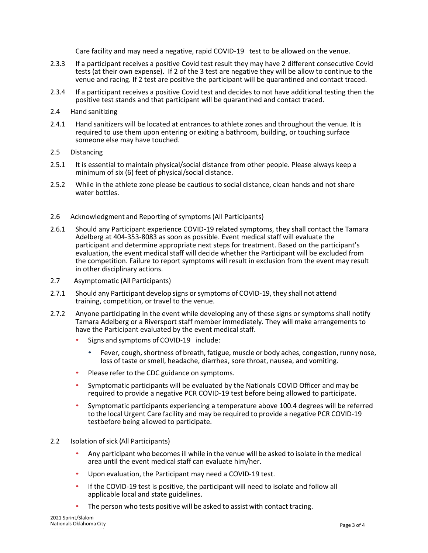Care facility and may need a negative, rapid COVID-19 test to be allowed on the venue.

- 2.3.3 If a participant receives a positive Covid test result they may have 2 different consecutive Covid tests (at their own expense). If 2 of the 3 test are negative they will be allow to continue to the venue and racing. If 2 test are positive the participant will be quarantined and contact traced.
- 2.3.4 If a participant receives a positive Covid test and decides to not have additional testing then the positive test stands and that participant will be quarantined and contact traced.
- 2.4 Hand sanitizing
- 2.4.1 Hand sanitizers will be located at entrances to athlete zones and throughout the venue. It is required to use them upon entering or exiting a bathroom, building, or touching surface someone else may have touched.
- 2.5 Distancing
- 2.5.1 It is essential to maintain physical/social distance from other people. Please always keep a minimum of six (6) feet of physical/social distance.
- 2.5.2 While in the athlete zone please be cautious to social distance, clean hands and not share water bottles.
- 2.6 Acknowledgment and Reporting of symptoms (All Participants)
- 2.6.1 Should any Participant experience COVID-19 related symptoms, they shall contact the Tamara Adelberg at 404-353-8083 as soon as possible. Event medical staff will evaluate the participant and determine appropriate next steps for treatment. Based on the participant's evaluation, the event medical staff will decide whether the Participant will be excluded from the competition. Failure to report symptoms will result in exclusion from the event may result in other disciplinary actions.
- 2.7 Asymptomatic (All Participants)
- 2.7.1 Should any Participant develop signs orsymptoms of COVID-19, they shall not attend training, competition, or travel to the venue.
- 2.7.2 Anyone participating in the event while developing any of these signs or symptoms shall notify Tamara Adelberg or a Riversport staff member immediately. They will make arrangements to have the Participant evaluated by the event medical staff.
	- Signs and symptoms of COVID-19 include:
		- Fever, cough, shortness of breath, fatigue, muscle or body aches, congestion, runny nose, loss of taste or smell, headache, diarrhea, sore throat, nausea, and vomiting.
	- Please refer to the CDC guidance on symptoms.
	- Symptomatic participants will be evaluated by the Nationals COVID Officer and may be required to provide a negative PCR COVID-19 test before being allowed to participate.
	- Symptomatic participants experiencing a temperature above 100.4 degrees will be referred to the local Urgent Care facility and may be required to provide a negative PCR COVID-19 testbefore being allowed to participate.
- 2.2 Isolation of sick (All Participants)
	- Any participant who becomes ill while in the venue will be asked to isolate in the medical area until the event medical staff can evaluate him/her.
	- Upon evaluation, the Participant may need a COVID-19 test.
	- If the COVID-19 test is positive, the participant will need to isolate and follow all applicable local and state guidelines.
	- The person who tests positive will be asked to assist with contact tracing.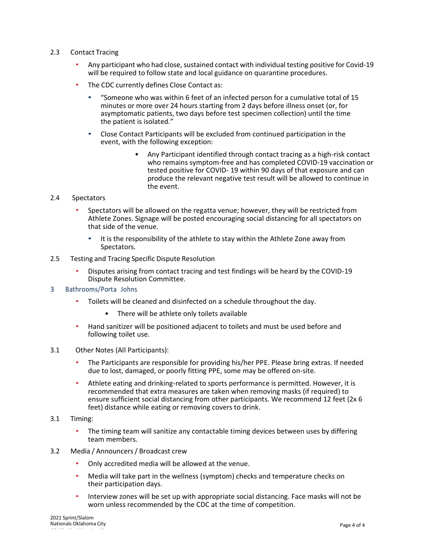- 2.3 Contact Tracing
	- Any participant who had close, sustained contact with individual testing positive for Covid-19 will be required to follow state and local guidance on quarantine procedures.
	- The CDC currently defines Close Contact as:
		- "Someone who was within 6 feet of an infected person for a cumulative total of 15 minutes or more over 24 hours starting from 2 days before illness onset (or, for asymptomatic patients, two days before test specimen collection) until the time the patient is isolated."
		- Close Contact Participants will be excluded from continued participation in the event, with the following exception:
			- Any Participant identified through contact tracing as a high-risk contact who remains symptom-free and has completed COVID-19 vaccination or tested positive for COVID- 19 within 90 days of that exposure and can produce the relevant negative test result will be allowed to continue in the event.

### 2.4 Spectators

- Spectators will be allowed on the regatta venue; however, they will be restricted from Athlete Zones. Signage will be posted encouraging social distancing for all spectators on that side of the venue.
	- It is the responsibility of the athlete to stay within the Athlete Zone away from Spectators.
- 2.5 Testing and Tracing Specific Dispute Resolution
	- Disputes arising from contact tracing and test findings will be heard by the COVID-19 Dispute Resolution Committee.
- 3 Bathrooms/Porta Johns
	- Toilets will be cleaned and disinfected on a schedule throughout the day.
		- There will be athlete only toilets available
	- Hand sanitizer will be positioned adjacent to toilets and must be used before and following toilet use.
- 3.1 Other Notes (All Participants):
	- The Participants are responsible for providing his/her PPE. Please bring extras. If needed due to lost, damaged, or poorly fitting PPE, some may be offered on-site.
	- Athlete eating and drinking-related to sports performance is permitted. However, it is recommended that extra measures are taken when removing masks (if required) to ensure sufficient social distancing from other participants. We recommend 12 feet (2x 6 feet) distance while eating or removing covers to drink.
- 3.1 Timing:
	- The timing team will sanitize any contactable timing devices between uses by differing team members.
- 3.2 Media / Announcers/ Broadcast crew
	- Only accredited media will be allowed at the venue.
	- Media will take part in the wellness (symptom) checks and temperature checks on their participation days.
	- Interview zones will be set up with appropriate social distancing. Face masks will not be worn unless recommended by the CDC at the time of competition.